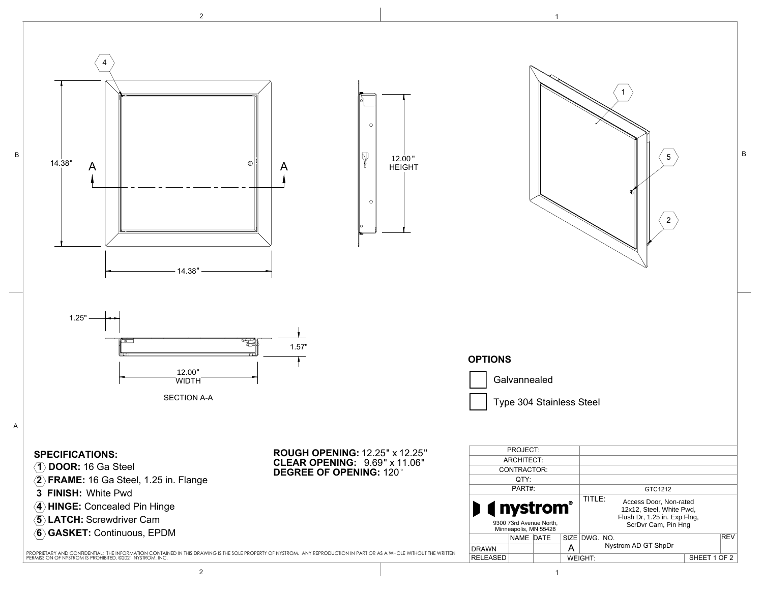



2 and  $\overline{1}$  1

2

SHEET 1 OF 2

5

B